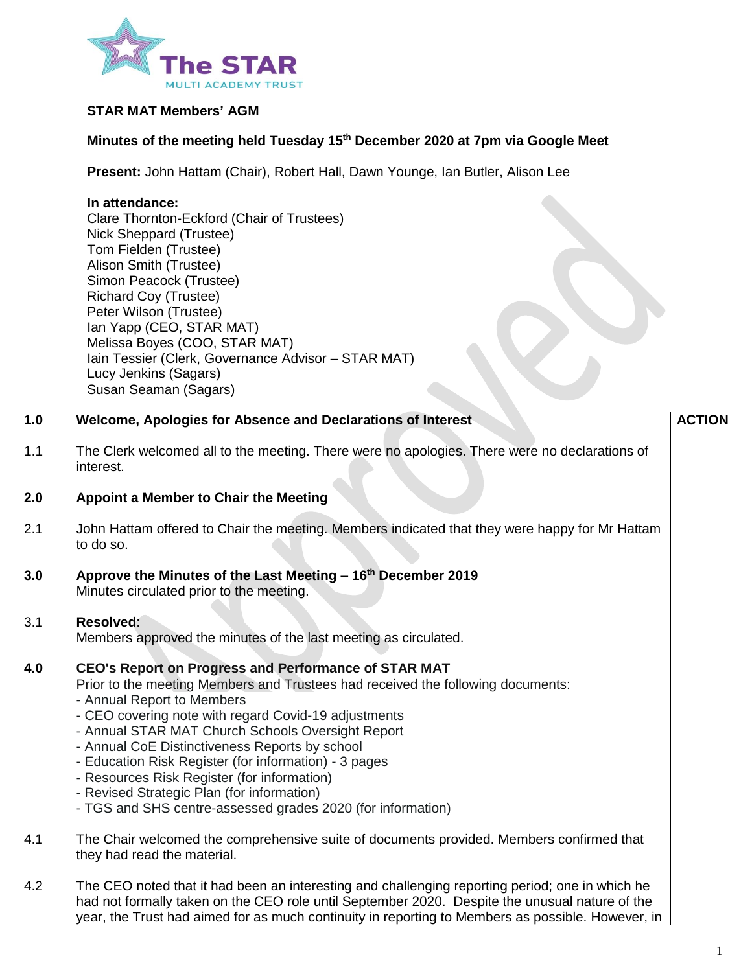

## **STAR MAT Members' AGM**

## **Minutes of the meeting held Tuesday 15th December 2020 at 7pm via Google Meet**

**Present:** John Hattam (Chair), Robert Hall, Dawn Younge, Ian Butler, Alison Lee

### **In attendance:**

Clare Thornton-Eckford (Chair of Trustees) Nick Sheppard (Trustee) Tom Fielden (Trustee) Alison Smith (Trustee) Simon Peacock (Trustee) Richard Coy (Trustee) Peter Wilson (Trustee) Ian Yapp (CEO, STAR MAT) Melissa Boyes (COO, STAR MAT) Iain Tessier (Clerk, Governance Advisor – STAR MAT) Lucy Jenkins (Sagars) Susan Seaman (Sagars)

#### **1.0 Welcome, Apologies for Absence and Declarations of Interest**

1.1 The Clerk welcomed all to the meeting. There were no apologies. There were no declarations of interest.

#### **2.0 Appoint a Member to Chair the Meeting**

- 2.1 John Hattam offered to Chair the meeting. Members indicated that they were happy for Mr Hattam to do so.
- **3.0 Approve the Minutes of the Last Meeting – 16th December 2019** Minutes circulated prior to the meeting.

#### 3.1 **Resolved**:

Members approved the minutes of the last meeting as circulated.

#### **4.0 CEO's Report on Progress and Performance of STAR MAT**

- Prior to the meeting Members and Trustees had received the following documents:
- Annual Report to Members
- CEO covering note with regard Covid-19 adjustments
- Annual STAR MAT Church Schools Oversight Report
- Annual CoE Distinctiveness Reports by school
- Education Risk Register (for information) 3 pages
- Resources Risk Register (for information)
- Revised Strategic Plan (for information)
- TGS and SHS centre-assessed grades 2020 (for information)
- 4.1 The Chair welcomed the comprehensive suite of documents provided. Members confirmed that they had read the material.
- 4.2 The CEO noted that it had been an interesting and challenging reporting period; one in which he had not formally taken on the CEO role until September 2020. Despite the unusual nature of the year, the Trust had aimed for as much continuity in reporting to Members as possible. However, in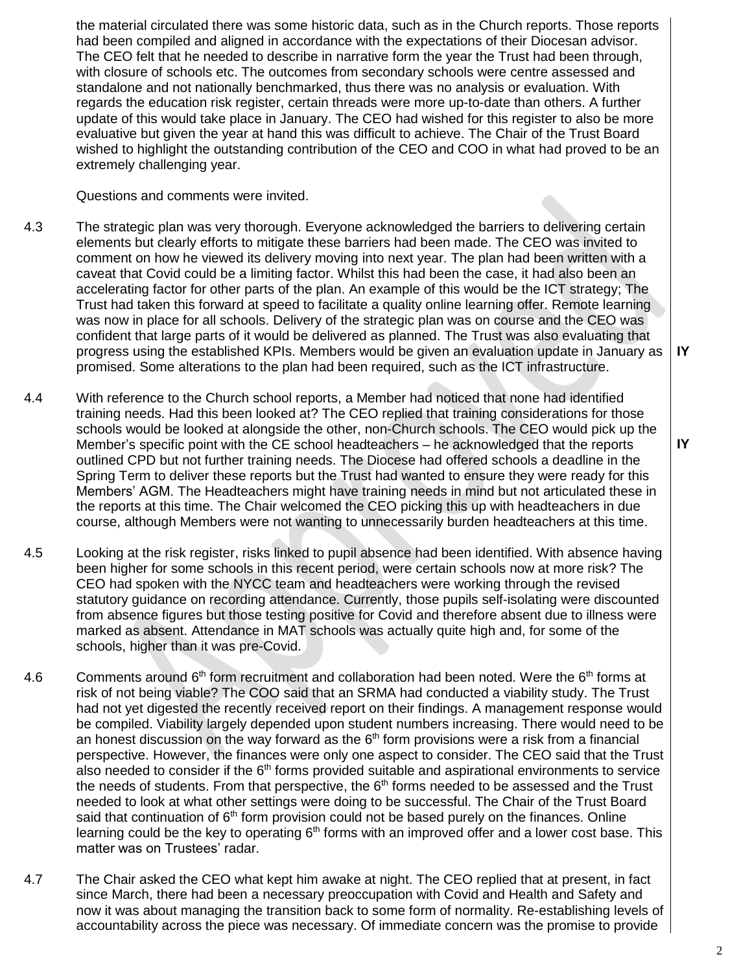the material circulated there was some historic data, such as in the Church reports. Those reports had been compiled and aligned in accordance with the expectations of their Diocesan advisor. The CEO felt that he needed to describe in narrative form the year the Trust had been through, with closure of schools etc. The outcomes from secondary schools were centre assessed and standalone and not nationally benchmarked, thus there was no analysis or evaluation. With regards the education risk register, certain threads were more up-to-date than others. A further update of this would take place in January. The CEO had wished for this register to also be more evaluative but given the year at hand this was difficult to achieve. The Chair of the Trust Board wished to highlight the outstanding contribution of the CEO and COO in what had proved to be an extremely challenging year.

Questions and comments were invited.

- 4.3 The strategic plan was very thorough. Everyone acknowledged the barriers to delivering certain elements but clearly efforts to mitigate these barriers had been made. The CEO was invited to comment on how he viewed its delivery moving into next year. The plan had been written with a caveat that Covid could be a limiting factor. Whilst this had been the case, it had also been an accelerating factor for other parts of the plan. An example of this would be the ICT strategy; The Trust had taken this forward at speed to facilitate a quality online learning offer. Remote learning was now in place for all schools. Delivery of the strategic plan was on course and the CEO was confident that large parts of it would be delivered as planned. The Trust was also evaluating that progress using the established KPIs. Members would be given an evaluation update in January as promised. Some alterations to the plan had been required, such as the ICT infrastructure.
- 4.4 With reference to the Church school reports, a Member had noticed that none had identified training needs. Had this been looked at? The CEO replied that training considerations for those schools would be looked at alongside the other, non-Church schools. The CEO would pick up the Member's specific point with the CE school headteachers – he acknowledged that the reports outlined CPD but not further training needs. The Diocese had offered schools a deadline in the Spring Term to deliver these reports but the Trust had wanted to ensure they were ready for this Members' AGM. The Headteachers might have training needs in mind but not articulated these in the reports at this time. The Chair welcomed the CEO picking this up with headteachers in due course, although Members were not wanting to unnecessarily burden headteachers at this time.
- 4.5 Looking at the risk register, risks linked to pupil absence had been identified. With absence having been higher for some schools in this recent period, were certain schools now at more risk? The CEO had spoken with the NYCC team and headteachers were working through the revised statutory guidance on recording attendance. Currently, those pupils self-isolating were discounted from absence figures but those testing positive for Covid and therefore absent due to illness were marked as absent. Attendance in MAT schools was actually quite high and, for some of the schools, higher than it was pre-Covid.
- 4.6 Comments around 6<sup>th</sup> form recruitment and collaboration had been noted. Were the 6<sup>th</sup> forms at risk of not being viable? The COO said that an SRMA had conducted a viability study. The Trust had not yet digested the recently received report on their findings. A management response would be compiled. Viability largely depended upon student numbers increasing. There would need to be an honest discussion on the way forward as the  $6<sup>th</sup>$  form provisions were a risk from a financial perspective. However, the finances were only one aspect to consider. The CEO said that the Trust also needed to consider if the  $6<sup>th</sup>$  forms provided suitable and aspirational environments to service the needs of students. From that perspective, the  $6<sup>th</sup>$  forms needed to be assessed and the Trust needed to look at what other settings were doing to be successful. The Chair of the Trust Board said that continuation of 6<sup>th</sup> form provision could not be based purely on the finances. Online learning could be the key to operating  $6<sup>th</sup>$  forms with an improved offer and a lower cost base. This matter was on Trustees' radar.
- 4.7 The Chair asked the CEO what kept him awake at night. The CEO replied that at present, in fact since March, there had been a necessary preoccupation with Covid and Health and Safety and now it was about managing the transition back to some form of normality. Re-establishing levels of accountability across the piece was necessary. Of immediate concern was the promise to provide

**IY**

**IY**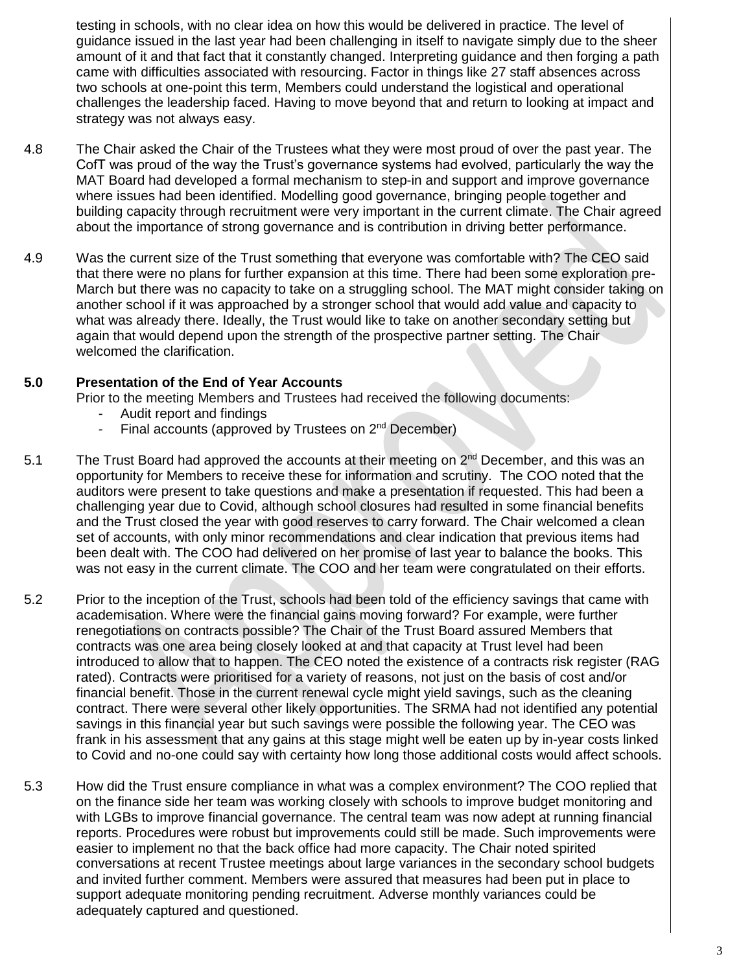testing in schools, with no clear idea on how this would be delivered in practice. The level of guidance issued in the last year had been challenging in itself to navigate simply due to the sheer amount of it and that fact that it constantly changed. Interpreting guidance and then forging a path came with difficulties associated with resourcing. Factor in things like 27 staff absences across two schools at one-point this term, Members could understand the logistical and operational challenges the leadership faced. Having to move beyond that and return to looking at impact and strategy was not always easy.

- 4.8 The Chair asked the Chair of the Trustees what they were most proud of over the past year. The CofT was proud of the way the Trust's governance systems had evolved, particularly the way the MAT Board had developed a formal mechanism to step-in and support and improve governance where issues had been identified. Modelling good governance, bringing people together and building capacity through recruitment were very important in the current climate. The Chair agreed about the importance of strong governance and is contribution in driving better performance.
- 4.9 Was the current size of the Trust something that everyone was comfortable with? The CEO said that there were no plans for further expansion at this time. There had been some exploration pre-March but there was no capacity to take on a struggling school. The MAT might consider taking on another school if it was approached by a stronger school that would add value and capacity to what was already there. Ideally, the Trust would like to take on another secondary setting but again that would depend upon the strength of the prospective partner setting. The Chair welcomed the clarification.

#### **5.0 Presentation of the End of Year Accounts**

Prior to the meeting Members and Trustees had received the following documents:

- Audit report and findings
- Final accounts (approved by Trustees on 2<sup>nd</sup> December)
- 5.1 The Trust Board had approved the accounts at their meeting on 2<sup>nd</sup> December, and this was an opportunity for Members to receive these for information and scrutiny. The COO noted that the auditors were present to take questions and make a presentation if requested. This had been a challenging year due to Covid, although school closures had resulted in some financial benefits and the Trust closed the year with good reserves to carry forward. The Chair welcomed a clean set of accounts, with only minor recommendations and clear indication that previous items had been dealt with. The COO had delivered on her promise of last year to balance the books. This was not easy in the current climate. The COO and her team were congratulated on their efforts.
- 5.2 Prior to the inception of the Trust, schools had been told of the efficiency savings that came with academisation. Where were the financial gains moving forward? For example, were further renegotiations on contracts possible? The Chair of the Trust Board assured Members that contracts was one area being closely looked at and that capacity at Trust level had been introduced to allow that to happen. The CEO noted the existence of a contracts risk register (RAG rated). Contracts were prioritised for a variety of reasons, not just on the basis of cost and/or financial benefit. Those in the current renewal cycle might yield savings, such as the cleaning contract. There were several other likely opportunities. The SRMA had not identified any potential savings in this financial year but such savings were possible the following year. The CEO was frank in his assessment that any gains at this stage might well be eaten up by in-year costs linked to Covid and no-one could say with certainty how long those additional costs would affect schools.
- 5.3 How did the Trust ensure compliance in what was a complex environment? The COO replied that on the finance side her team was working closely with schools to improve budget monitoring and with LGBs to improve financial governance. The central team was now adept at running financial reports. Procedures were robust but improvements could still be made. Such improvements were easier to implement no that the back office had more capacity. The Chair noted spirited conversations at recent Trustee meetings about large variances in the secondary school budgets and invited further comment. Members were assured that measures had been put in place to support adequate monitoring pending recruitment. Adverse monthly variances could be adequately captured and questioned.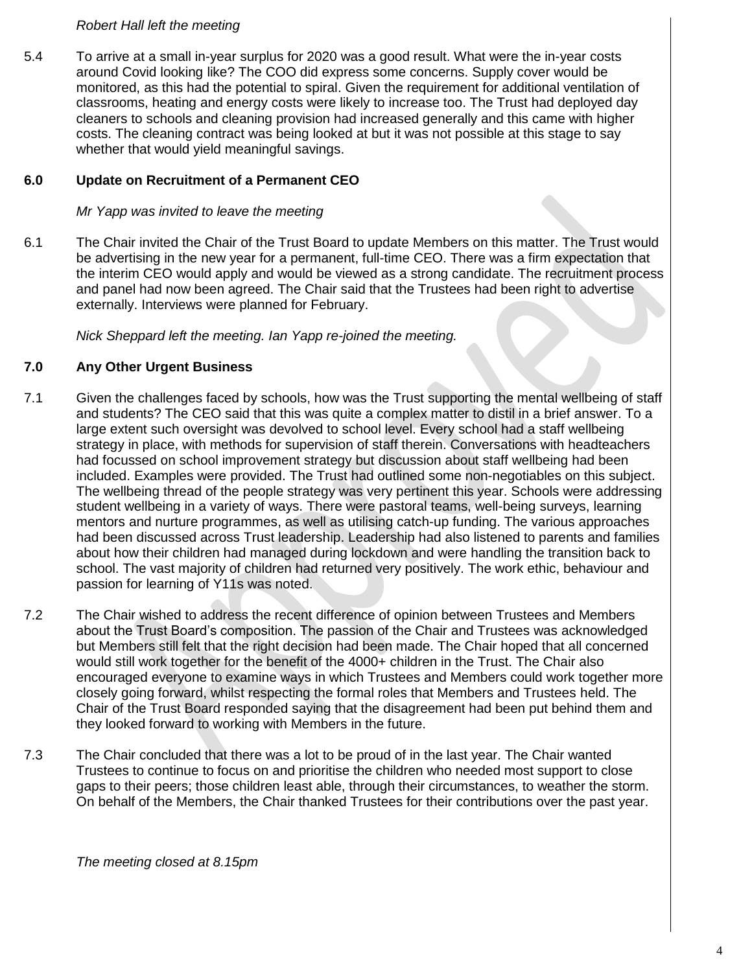## *Robert Hall left the meeting*

5.4 To arrive at a small in-year surplus for 2020 was a good result. What were the in-year costs around Covid looking like? The COO did express some concerns. Supply cover would be monitored, as this had the potential to spiral. Given the requirement for additional ventilation of classrooms, heating and energy costs were likely to increase too. The Trust had deployed day cleaners to schools and cleaning provision had increased generally and this came with higher costs. The cleaning contract was being looked at but it was not possible at this stage to say whether that would yield meaningful savings.

#### **6.0 Update on Recruitment of a Permanent CEO**

*Mr Yapp was invited to leave the meeting*

6.1 The Chair invited the Chair of the Trust Board to update Members on this matter. The Trust would be advertising in the new year for a permanent, full-time CEO. There was a firm expectation that the interim CEO would apply and would be viewed as a strong candidate. The recruitment process and panel had now been agreed. The Chair said that the Trustees had been right to advertise externally. Interviews were planned for February.

*Nick Sheppard left the meeting. Ian Yapp re-joined the meeting.*

#### **7.0 Any Other Urgent Business**

- 7.1 Given the challenges faced by schools, how was the Trust supporting the mental wellbeing of staff and students? The CEO said that this was quite a complex matter to distil in a brief answer. To a large extent such oversight was devolved to school level. Every school had a staff wellbeing strategy in place, with methods for supervision of staff therein. Conversations with headteachers had focussed on school improvement strategy but discussion about staff wellbeing had been included. Examples were provided. The Trust had outlined some non-negotiables on this subject. The wellbeing thread of the people strategy was very pertinent this year. Schools were addressing student wellbeing in a variety of ways. There were pastoral teams, well-being surveys, learning mentors and nurture programmes, as well as utilising catch-up funding. The various approaches had been discussed across Trust leadership. Leadership had also listened to parents and families about how their children had managed during lockdown and were handling the transition back to school. The vast majority of children had returned very positively. The work ethic, behaviour and passion for learning of Y11s was noted.
- 7.2 The Chair wished to address the recent difference of opinion between Trustees and Members about the Trust Board's composition. The passion of the Chair and Trustees was acknowledged but Members still felt that the right decision had been made. The Chair hoped that all concerned would still work together for the benefit of the 4000+ children in the Trust. The Chair also encouraged everyone to examine ways in which Trustees and Members could work together more closely going forward, whilst respecting the formal roles that Members and Trustees held. The Chair of the Trust Board responded saying that the disagreement had been put behind them and they looked forward to working with Members in the future.
- 7.3 The Chair concluded that there was a lot to be proud of in the last year. The Chair wanted Trustees to continue to focus on and prioritise the children who needed most support to close gaps to their peers; those children least able, through their circumstances, to weather the storm. On behalf of the Members, the Chair thanked Trustees for their contributions over the past year.

*The meeting closed at 8.15pm*